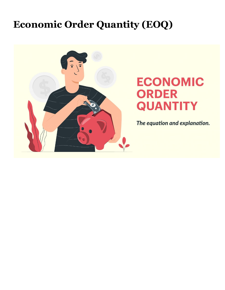## **Economic Order Quantity (EOQ)**



# **ECONOMIC ORDER QUANTITY**

The equation and explanation.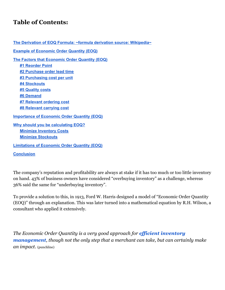#### **Table of Contents:**

**The Derivation of EOQ Formula: ~formula derivation source: [Wikipedia~](#page-2-0) Example of [Economic](#page-4-0) Order Quantity (EOQ) The Factors that [Economic](#page-4-1) Order Quantity (EOQ) #1 [Reorder](#page-4-2) Point #2 [Purchase](#page-4-3) order lead time #3 [Purchasing](#page-4-4) cost per unit #4 [Stockouts](#page-4-5) #5 [Quality](#page-4-6) costs #6 [Demand](#page-5-0) #7 [Relevant](#page-5-1) ordering cost #8 [Relevant](#page-5-2) carrying cost [Importance](#page-5-3) of Economic Order Quantity (EOQ) Why should you be [calculating](#page-6-0) EOQ? Minimize [Inventory](#page-6-1) Costs Minimize [Stockouts](#page-6-2) [Limitations](#page-7-0) of Economic Order Quantity (EOQ) [Conclusion](#page-7-1)**

The company's reputation and profitability are always at stake if it has too much or too little inventory on hand. 43% of business owners have considered "overbuying inventory" as a challenge, whereas 36% said the same for "underbuying inventory".

To provide a solution to this, in 1913, Ford W. Harris designed a model of "Economic Order Quantity (EOQ)" through an explanation. This was later turned into a mathematical equation by R.H. Wilson, a consultant who applied it extensively.

*The Economic Order Quantity is a very good approach for ef icient [inventory](https://www.orderhive.com/inventory-management.html?utm_source=Stephen_knowledge_center&utm_medium=EOQ) [management](https://www.orderhive.com/inventory-management.html?utm_source=Stephen_knowledge_center&utm_medium=EOQ), though not the only step that a merchant can take, but can certainly make an impact.* (punchline)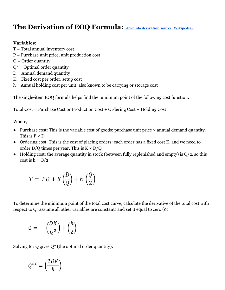### <span id="page-2-0"></span>**The Derivation of EOQ Formula: [~formula derivation source: Wikipedia~](https://en.wikipedia.org/wiki/Economic_order_quantity)**

#### **Variables:**

T = Total annual inventory cost P = Purchase unit price, unit production cost  $Q =$ Order quantity  $Q^*$  = Optimal order quantity  $D =$  Annual demand quantity  $K =$  Fixed cost per order, setup cost h = Annual holding cost per unit, also known to be carrying or storage cost

The single-item EOQ formula helps find the minimum point of the following cost function:

Total Cost = Purchase Cost or Production Cost + Ordering Cost + Holding Cost

Where,

- Purchase cost: This is the variable cost of goods: purchase unit price  $\times$  annual demand quantity. This is  $P \times D$
- Ordering cost: This is the cost of placing orders: each order has a fixed cost K, and we need to order  $D/Q$  times per year. This is  $K \times D/Q$
- Holding cost: the average quantity in stock (between fully replenished and empty) is  $Q/2$ , so this cost is  $h \times Q/2$

$$
T = PD + K\left(\frac{D}{Q}\right) + h\left(\frac{Q}{2}\right)
$$

To determine the minimum point of the total cost curve, calculate the derivative of the total cost with respect to Q (assume all other variables are constant) and set it equal to zero (0):

$$
0 = -\left(\frac{DK}{Q^2}\right) + \left(\frac{h}{2}\right)
$$

Solving for  $Q$  gives  $Q^*$  (the optimal order quantity):

$$
Q^{*2} = \left(\frac{2DK}{h}\right)
$$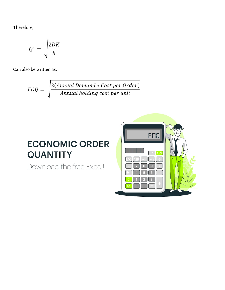Therefore,

$$
Q^* = \sqrt{\frac{2DK}{h}}
$$

Can also be written as,

$$
EOQ = \sqrt{\frac{2(Annual\ Demand * Cost\ per\ Order)}{Annual\ holding\ cost\ per\ unit}}
$$

## **ECONOMIC ORDER QUANTITY**

Download the free Excel!

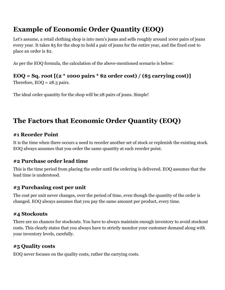## <span id="page-4-0"></span>**Example of Economic Order Quantity (EOQ)**

Let's assume, a retail clothing shop is into men's jeans and sells roughly around 1000 pairs of jeans every year. It takes \$5 for the shop to hold a pair of jeans for the entire year, and the fixed cost to place an order is \$2.

As per the EOQ formula, the calculation of the above-mentioned scenario is below:

#### **EOQ = Sq. root [(2 \* 1000 pairs \* \$2 order cost) / (\$5 carrying cost)]**

Therefore,  $EOQ = 28.3 \text{ pairs.}$ 

The ideal order quantity for the shop will be 28 pairs of jeans. Simple!

## <span id="page-4-1"></span>**The Factors that Economic Order Quantity (EOQ)**

#### <span id="page-4-2"></span>**#1 Reorder Point**

It is the time when there occurs a need to reorder another set of stock or replenish the existing stock. EOQ always assumes that you order the same quantity at each reorder point.

#### <span id="page-4-3"></span>**#2 Purchase order lead time**

This is the time period from placing the order until the ordering is delivered. EOQ assumes that the lead time is understood.

#### <span id="page-4-4"></span>**#3 Purchasing cost per unit**

The cost per unit never changes, over the period of time, even though the quantity of the order is changed. EOQ always assumes that you pay the same amount per product, every time.

#### <span id="page-4-5"></span>**#4 Stockouts**

There are no chances for stockouts. You have to always maintain enough inventory to avoid stockout costs. This clearly states that you always have to strictly monitor your customer demand along with your inventory levels, carefully.

#### <span id="page-4-6"></span>**#5 Quality costs**

EOQ never focuses on the quality costs, rather the carrying costs.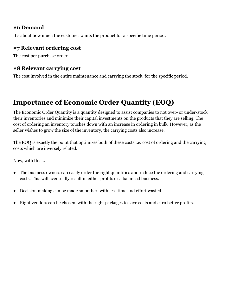#### <span id="page-5-0"></span>**#6 Demand**

It's about how much the customer wants the product for a specific time period.

#### <span id="page-5-1"></span>**#7 Relevant ordering cost**

<span id="page-5-2"></span>The cost per purchase order.

#### **#8 Relevant carrying cost**

The cost involved in the entire maintenance and carrying the stock, for the specific period.

## <span id="page-5-3"></span>**Importance of Economic Order Quantity (EOQ)**

The Economic Order Quantity is a quantity designed to assist companies to not over- or under-stock their inventories and minimize their capital investments on the products that they are selling. The cost of ordering an inventory touches down with an increase in ordering in bulk. However, as the seller wishes to grow the size of the inventory, the carrying costs also increase.

The EOQ is exactly the point that optimizes both of these costs i.e. cost of ordering and the carrying costs which are inversely related.

Now, with this...

- The business owners can easily order the right quantities and reduce the ordering and carrying costs. This will eventually result in either profits or a balanced business.
- Decision making can be made smoother, with less time and effort wasted.
- Right vendors can be chosen, with the right packages to save costs and earn better profits.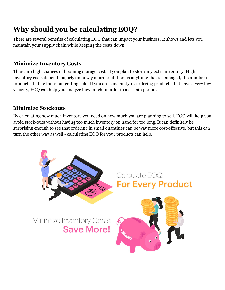## <span id="page-6-0"></span>**Why should you be calculating EOQ?**

There are several benefits of calculating EOQ that can impact your business. It shows and lets you maintain your supply chain while keeping the costs down.

#### <span id="page-6-1"></span>**Minimize Inventory Costs**

There are high chances of booming storage costs if you plan to store any extra inventory. High inventory costs depend majorly on how you order, if there is anything that is damaged, the number of products that lie there not getting sold. If you are constantly re-ordering products that have a very low velocity, EOQ can help you analyze how much to order in a certain period.

#### <span id="page-6-2"></span>**Minimize Stockouts**

By calculating how much inventory you need on how much you are planning to sell, EOQ will help you avoid stock-outs without having too much inventory on hand for too long. It can definitely be surprising enough to see that ordering in small quantities can be way more cost-effective, but this can turn the other way as well - calculating EOQ for your products can help.